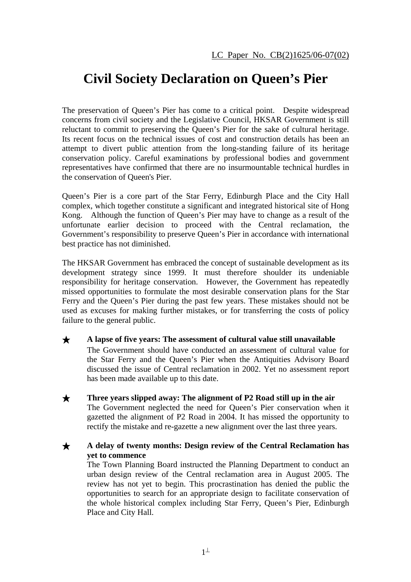## **Civil Society Declaration on Queen's Pier**

The preservation of Queen's Pier has come to a critical point. Despite widespread concerns from civil society and the Legislative Council, HKSAR Government is still reluctant to commit to preserving the Queen's Pier for the sake of cultural heritage. Its recent focus on the technical issues of cost and construction details has been an attempt to divert public attention from the long-standing failure of its heritage conservation policy. Careful examinations by professional bodies and government representatives have confirmed that there are no insurmountable technical hurdles in the conservation of Queen's Pier.

Queen's Pier is a core part of the Star Ferry, Edinburgh Place and the City Hall complex, which together constitute a significant and integrated historical site of Hong Kong. Although the function of Queen's Pier may have to change as a result of the unfortunate earlier decision to proceed with the Central reclamation, the Government's responsibility to preserve Queen's Pier in accordance with international best practice has not diminished.

The HKSAR Government has embraced the concept of sustainable development as its development strategy since 1999. It must therefore shoulder its undeniable responsibility for heritage conservation. However, the Government has repeatedly missed opportunities to formulate the most desirable conservation plans for the Star Ferry and the Queen's Pier during the past few years. These mistakes should not be used as excuses for making further mistakes, or for transferring the costs of policy failure to the general public.

- ★ **A lapse of five years: The assessment of cultural value still unavailable**  The Government should have conducted an assessment of cultural value for the Star Ferry and the Queen's Pier when the Antiquities Advisory Board discussed the issue of Central reclamation in 2002. Yet no assessment report has been made available up to this date.
- ★ **Three years slipped away: The alignment of P2 Road still up in the air** The Government neglected the need for Queen's Pier conservation when it gazetted the alignment of P2 Road in 2004. It has missed the opportunity to rectify the mistake and re-gazette a new alignment over the last three years.

★ **A delay of twenty months: Design review of the Central Reclamation has yet to commence** 

The Town Planning Board instructed the Planning Department to conduct an urban design review of the Central reclamation area in August 2005. The review has not yet to begin. This procrastination has denied the public the opportunities to search for an appropriate design to facilitate conservation of the whole historical complex including Star Ferry, Queen's Pier, Edinburgh Place and City Hall.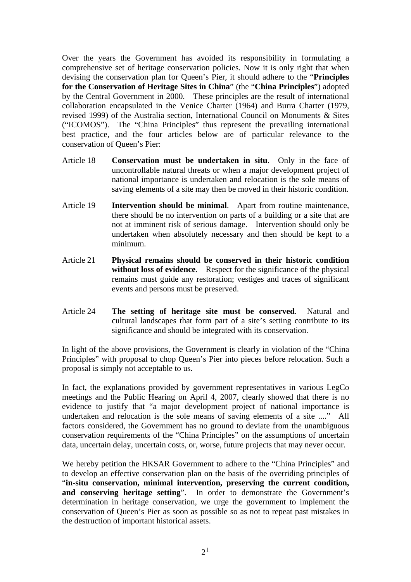Over the years the Government has avoided its responsibility in formulating a comprehensive set of heritage conservation policies. Now it is only right that when devising the conservation plan for Queen's Pier, it should adhere to the "**Principles for the Conservation of Heritage Sites in China**" (the "**China Principles**") adopted by the Central Government in 2000. These principles are the result of international collaboration encapsulated in the Venice Charter (1964) and Burra Charter (1979, revised 1999) of the Australia section, International Council on Monuments & Sites ("ICOMOS"). The "China Principles" thus represent the prevailing international best practice, and the four articles below are of particular relevance to the conservation of Queen's Pier:

- Article 18 **Conservation must be undertaken in situ**. Only in the face of uncontrollable natural threats or when a major development project of national importance is undertaken and relocation is the sole means of saving elements of a site may then be moved in their historic condition.
- Article 19 **Intervention should be minimal**. Apart from routine maintenance, there should be no intervention on parts of a building or a site that are not at imminent risk of serious damage. Intervention should only be undertaken when absolutely necessary and then should be kept to a minimum.
- Article 21 **Physical remains should be conserved in their historic condition without loss of evidence**. Respect for the significance of the physical remains must guide any restoration; vestiges and traces of significant events and persons must be preserved.
- Article 24 **The setting of heritage site must be conserved**. Natural and cultural landscapes that form part of a site's setting contribute to its significance and should be integrated with its conservation.

In light of the above provisions, the Government is clearly in violation of the "China Principles" with proposal to chop Queen's Pier into pieces before relocation. Such a proposal is simply not acceptable to us.

In fact, the explanations provided by government representatives in various LegCo meetings and the Public Hearing on April 4, 2007, clearly showed that there is no evidence to justify that "a major development project of national importance is undertaken and relocation is the sole means of saving elements of a site ...." All factors considered, the Government has no ground to deviate from the unambiguous conservation requirements of the "China Principles" on the assumptions of uncertain data, uncertain delay, uncertain costs, or, worse, future projects that may never occur.

We hereby petition the HKSAR Government to adhere to the "China Principles" and to develop an effective conservation plan on the basis of the overriding principles of "**in-situ conservation, minimal intervention, preserving the current condition, and conserving heritage setting**". In order to demonstrate the Government's determination in heritage conservation, we urge the government to implement the conservation of Queen's Pier as soon as possible so as not to repeat past mistakes in the destruction of important historical assets.